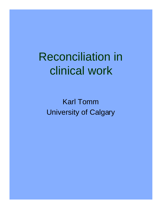# Reconciliation in clinical work

Karl Tomm University of Calgary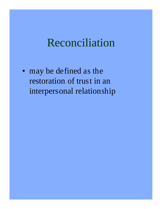### Reconciliation

• may be defined as the restoration of trust in an interpersonal relationship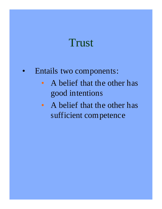### **Trust**

#### • Entails two components:

- A belief that the other has good intentions
- A belief that the other has sufficient competence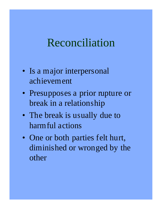#### Reconciliation

- Is a major interpersonal achievement
- Presupposes a prior rupture or break in a relationship
- The break is usually due to harmful actions
- One or both parties felt hurt, diminished or wronged by the other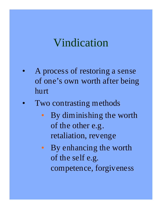## Vindication

- A process of restoring a sense of one's own worth after being hurt
- Two contrasting methods
	- By diminishing the worth of the other e.g. retaliation, revenge
	- By enhancing the worth of the self e.g. competence, forgiveness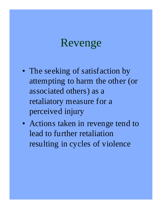#### Revenge

- The seeking of satisfaction by attempting to harm the other (or associated others) as a retaliatory measure for a perceived injury
- Actions taken in revenge tend to lead to further retaliation resulting in cycles of violence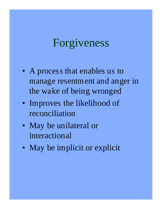#### Forgiveness

- A process that enables us to manage resentment and anger in the wake of being wronged
- Improves the likelihood of reconciliation
- May be unilateral or interactional
- May be implicit or explicit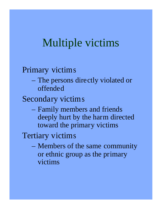## Multiple victims

#### Primary victims

– The persons directly violated or offended

Secondary victims

– Family members and friends deeply hurt by the harm directed toward the primary victims

Tertiary victims

– Members of the same community or ethnic group as the primary victims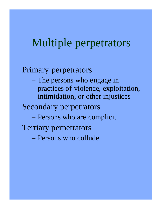#### Multiple perpetrators

#### Primary perpetrators

– The persons who engage in practices of violence, exploitation, intimidation, or other injustices

#### Secondary perpetrators

- Persons who are complicit
- Tertiary perpetrators
	- Persons who collude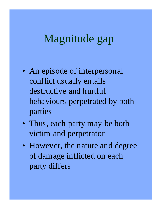## Magnitude gap

- An episode of interpersonal conflict usually entails destructive and hurtful behaviours perpetrated by both parties
- Thus, each party may be both victim and perpetrator
- However, the nature and degree of damage inflicted on each party differs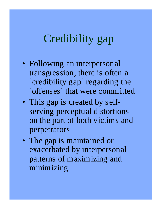#### Credibility gap

- Following an interpersonal transgression, there is often a `credibility gap´ regarding the `offenses´ that were committed
- This gap is created by selfserving perceptual distortions on the part of both victims and perpetrators
- The gap is maintained or exacerbated by interpersonal patterns of maximizing and minimizing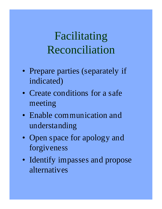# Facilitating Reconciliation

- Prepare parties (separately if indicated)
- Create conditions for a safe meeting
- Enable communication and understanding
- Open space for apology and forgiveness
- Identify impasses and propose alternatives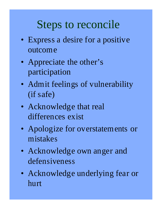## Steps to reconcile

- Express a desire for a positive outcome
- Appreciate the other's participation
- Admit feelings of vulnerability (if safe)
- Acknowledge that real differences exist
- Apologize for overstatements or mistakes
- Acknowledge own anger and defensiveness
- Acknowledge underlying fear or hurt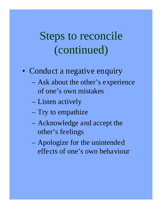## Steps to reconcile (continued)

- Conduct a negative enquiry
	- Ask about the other's experience of one's own mistakes
	- Listen actively
	- Try to empathize
	- Acknowledge and accept the other's feelings
	- Apologize for the unintended effects of one's own behaviour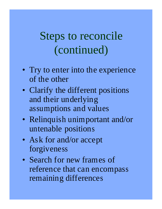# Steps to reconcile (continued)

- Try to enter into the experience of the other
- Clarify the different positions and their underlying assumptions and values
- Relinquish unimportant and/or untenable positions
- Ask for and/or accept forgiveness
- Search for new frames of reference that can encompass remaining differences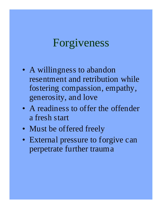### Forgiveness

- A willingness to abandon resentment and retribution while fostering compassion, empathy, generosity, and love
- A readiness to offer the offender a fresh start
- Must be offered freely
- External pressure to forgive can perpetrate further trauma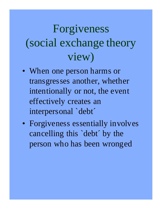# Forgiveness (social exchange theory view)

- When one person harms or transgresses another, whether intentionally or not, the event effectively creates an interpersonal `debt´
- Forgiveness essentially involves cancelling this `debt´ by the person who has been wronged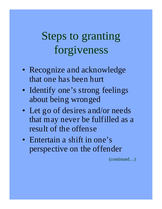## Steps to granting forgiveness

- Recognize and acknowledge that one has been hurt
- Identify one's strong feelings about being wronged
- Let go of desires and/or needs that may never be fulfilled as a result of the offense
- Entertain a shift in one's perspective on the offender

(continued…)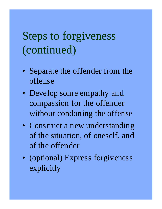# Steps to forgiveness (continued)

- Separate the offender from the offense
- Develop some empathy and compassion for the offender without condoning the offense
- Construct a new understanding of the situation, of oneself, and of the offender
- (optional) Express forgiveness explicitly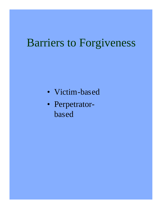## Barriers to Forgiveness

- Victim-based
- Perpetratorbased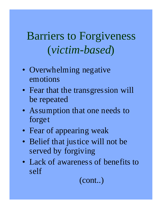## Barriers to Forgiveness (*victim-based*)

- Overwhelming negative emotions
- Fear that the transgression will be repeated
- Assumption that one needs to forget
- Fear of appearing weak
- Belief that justice will not be served by forgiving
- Lack of awareness of benefits to self

(cont..)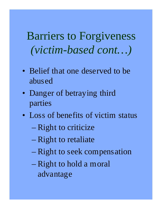Barriers to Forgiveness *(victim-based cont…)*

- Belief that one deserved to be abused
- Danger of betraying third parties
- Loss of benefits of victim status
	- Right to criticize
	- Right to retaliate
	- Right to seek compensation
	- Right to hold a moral advantage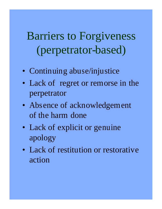# Barriers to Forgiveness (perpetrator-based)

- Continuing abuse/injustice
- Lack of regret or remorse in the perpetrator
- Absence of acknowledgement of the harm done
- Lack of explicit or genuine apology
- Lack of restitution or restorative action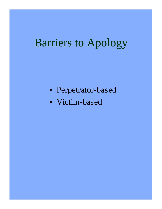## Barriers to Apology

- Perpetrator-based
- Victim-based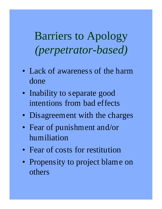Barriers to Apology *(perpetrator-based)*

- Lack of awareness of the harm done
- Inability to separate good intentions from bad effects
- Disagreement with the charges
- Fear of punishment and/or humiliation
- Fear of costs for restitution
- Propensity to project blame on others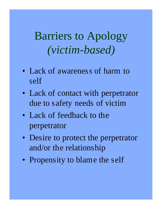## Barriers to Apology *(victim-based)*

- Lack of awareness of harm to self
- Lack of contact with perpetrator due to safety needs of victim
- Lack of feedback to the perpetrator
- Desire to protect the perpetrator and/or the relationship
- Propensity to blame the self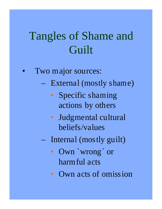# Tangles of Shame and **Guilt**

- Two major sources:
	- External (mostly shame)
		- Specific shaming actions by others
		- Judgmental cultural beliefs/values
	- Internal (mostly guilt)
		- Own `wrong´ or harmful acts
		- Own acts of omission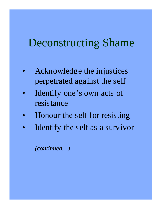### Deconstructing Shame

- Acknowledge the injustices perpetrated against the self
- Identify one's own acts of resistance
- Honour the self for resisting
- Identify the self as a survivor

*(continued…)*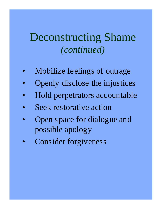#### Deconstructing Shame *(continued)*

- Mobilize feelings of outrage
- Openly disclose the injustices
- Hold perpetrators accountable
- Seek restorative action
- Open space for dialogue and possible apology
- Consider forgiveness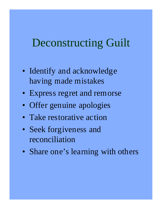### Deconstructing Guilt

- Identify and acknowledge having made mistakes
- Express regret and remorse
- Offer genuine apologies
- Take restorative action
- Seek forgiveness and reconciliation
- Share one's learning with others